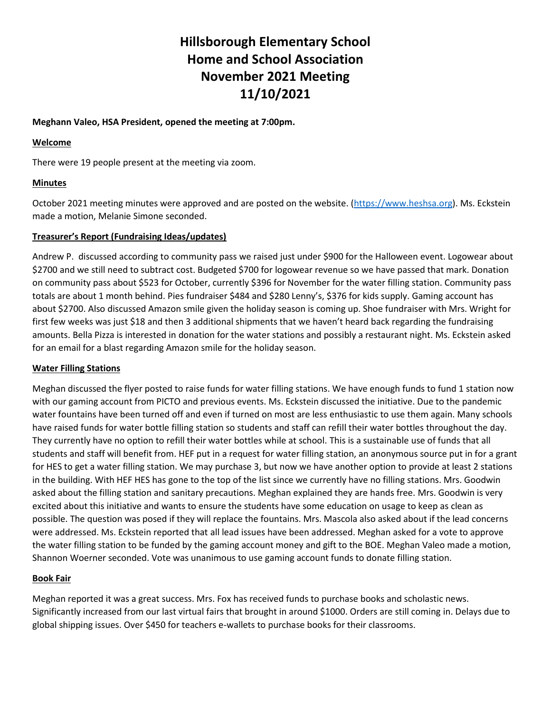# **Hillsborough Elementary School Home and School Association November 2021 Meeting 11/10/2021**

## **Meghann Valeo, HSA President, opened the meeting at 7:00pm.**

#### **Welcome**

There were 19 people present at the meeting via zoom.

# **Minutes**

October 2021 meeting minutes were approved and are posted on the website. [\(https://www.heshsa.org\)](https://www.heshsa.org/). Ms. Eckstein made a motion, Melanie Simone seconded.

## **Treasurer's Report (Fundraising Ideas/updates)**

Andrew P. discussed according to community pass we raised just under \$900 for the Halloween event. Logowear about \$2700 and we still need to subtract cost. Budgeted \$700 for logowear revenue so we have passed that mark. Donation on community pass about \$523 for October, currently \$396 for November for the water filling station. Community pass totals are about 1 month behind. Pies fundraiser \$484 and \$280 Lenny's, \$376 for kids supply. Gaming account has about \$2700. Also discussed Amazon smile given the holiday season is coming up. Shoe fundraiser with Mrs. Wright for first few weeks was just \$18 and then 3 additional shipments that we haven't heard back regarding the fundraising amounts. Bella Pizza is interested in donation for the water stations and possibly a restaurant night. Ms. Eckstein asked for an email for a blast regarding Amazon smile for the holiday season.

#### **Water Filling Stations**

Meghan discussed the flyer posted to raise funds for water filling stations. We have enough funds to fund 1 station now with our gaming account from PICTO and previous events. Ms. Eckstein discussed the initiative. Due to the pandemic water fountains have been turned off and even if turned on most are less enthusiastic to use them again. Many schools have raised funds for water bottle filling station so students and staff can refill their water bottles throughout the day. They currently have no option to refill their water bottles while at school. This is a sustainable use of funds that all students and staff will benefit from. HEF put in a request for water filling station, an anonymous source put in for a grant for HES to get a water filling station. We may purchase 3, but now we have another option to provide at least 2 stations in the building. With HEF HES has gone to the top of the list since we currently have no filling stations. Mrs. Goodwin asked about the filling station and sanitary precautions. Meghan explained they are hands free. Mrs. Goodwin is very excited about this initiative and wants to ensure the students have some education on usage to keep as clean as possible. The question was posed if they will replace the fountains. Mrs. Mascola also asked about if the lead concerns were addressed. Ms. Eckstein reported that all lead issues have been addressed. Meghan asked for a vote to approve the water filling station to be funded by the gaming account money and gift to the BOE. Meghan Valeo made a motion, Shannon Woerner seconded. Vote was unanimous to use gaming account funds to donate filling station.

# **Book Fair**

Meghan reported it was a great success. Mrs. Fox has received funds to purchase books and scholastic news. Significantly increased from our last virtual fairs that brought in around \$1000. Orders are still coming in. Delays due to global shipping issues. Over \$450 for teachers e-wallets to purchase books for their classrooms.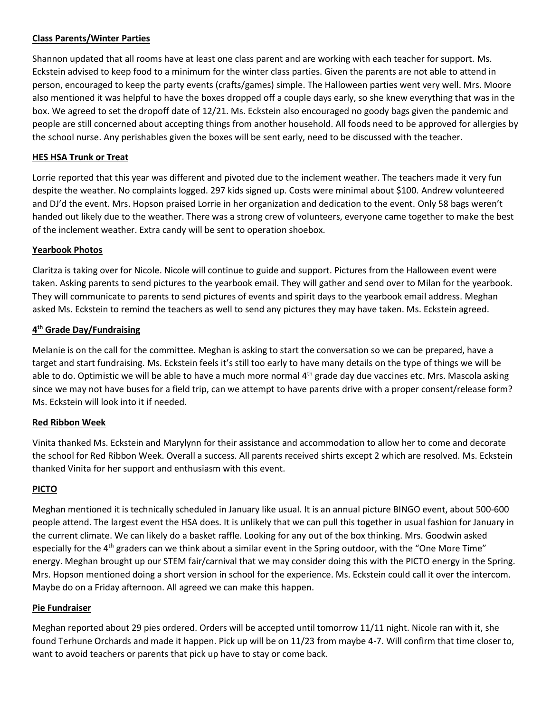## **Class Parents/Winter Parties**

Shannon updated that all rooms have at least one class parent and are working with each teacher for support. Ms. Eckstein advised to keep food to a minimum for the winter class parties. Given the parents are not able to attend in person, encouraged to keep the party events (crafts/games) simple. The Halloween parties went very well. Mrs. Moore also mentioned it was helpful to have the boxes dropped off a couple days early, so she knew everything that was in the box. We agreed to set the dropoff date of 12/21. Ms. Eckstein also encouraged no goody bags given the pandemic and people are still concerned about accepting things from another household. All foods need to be approved for allergies by the school nurse. Any perishables given the boxes will be sent early, need to be discussed with the teacher.

#### **HES HSA Trunk or Treat**

Lorrie reported that this year was different and pivoted due to the inclement weather. The teachers made it very fun despite the weather. No complaints logged. 297 kids signed up. Costs were minimal about \$100. Andrew volunteered and DJ'd the event. Mrs. Hopson praised Lorrie in her organization and dedication to the event. Only 58 bags weren't handed out likely due to the weather. There was a strong crew of volunteers, everyone came together to make the best of the inclement weather. Extra candy will be sent to operation shoebox.

## **Yearbook Photos**

Claritza is taking over for Nicole. Nicole will continue to guide and support. Pictures from the Halloween event were taken. Asking parents to send pictures to the yearbook email. They will gather and send over to Milan for the yearbook. They will communicate to parents to send pictures of events and spirit days to the yearbook email address. Meghan asked Ms. Eckstein to remind the teachers as well to send any pictures they may have taken. Ms. Eckstein agreed.

## **4 th Grade Day/Fundraising**

Melanie is on the call for the committee. Meghan is asking to start the conversation so we can be prepared, have a target and start fundraising. Ms. Eckstein feels it's still too early to have many details on the type of things we will be able to do. Optimistic we will be able to have a much more normal 4<sup>th</sup> grade day due vaccines etc. Mrs. Mascola asking since we may not have buses for a field trip, can we attempt to have parents drive with a proper consent/release form? Ms. Eckstein will look into it if needed.

# **Red Ribbon Week**

Vinita thanked Ms. Eckstein and Marylynn for their assistance and accommodation to allow her to come and decorate the school for Red Ribbon Week. Overall a success. All parents received shirts except 2 which are resolved. Ms. Eckstein thanked Vinita for her support and enthusiasm with this event.

#### **PICTO**

Meghan mentioned it is technically scheduled in January like usual. It is an annual picture BINGO event, about 500-600 people attend. The largest event the HSA does. It is unlikely that we can pull this together in usual fashion for January in the current climate. We can likely do a basket raffle. Looking for any out of the box thinking. Mrs. Goodwin asked especially for the 4<sup>th</sup> graders can we think about a similar event in the Spring outdoor, with the "One More Time" energy. Meghan brought up our STEM fair/carnival that we may consider doing this with the PICTO energy in the Spring. Mrs. Hopson mentioned doing a short version in school for the experience. Ms. Eckstein could call it over the intercom. Maybe do on a Friday afternoon. All agreed we can make this happen.

#### **Pie Fundraiser**

Meghan reported about 29 pies ordered. Orders will be accepted until tomorrow 11/11 night. Nicole ran with it, she found Terhune Orchards and made it happen. Pick up will be on 11/23 from maybe 4-7. Will confirm that time closer to, want to avoid teachers or parents that pick up have to stay or come back.